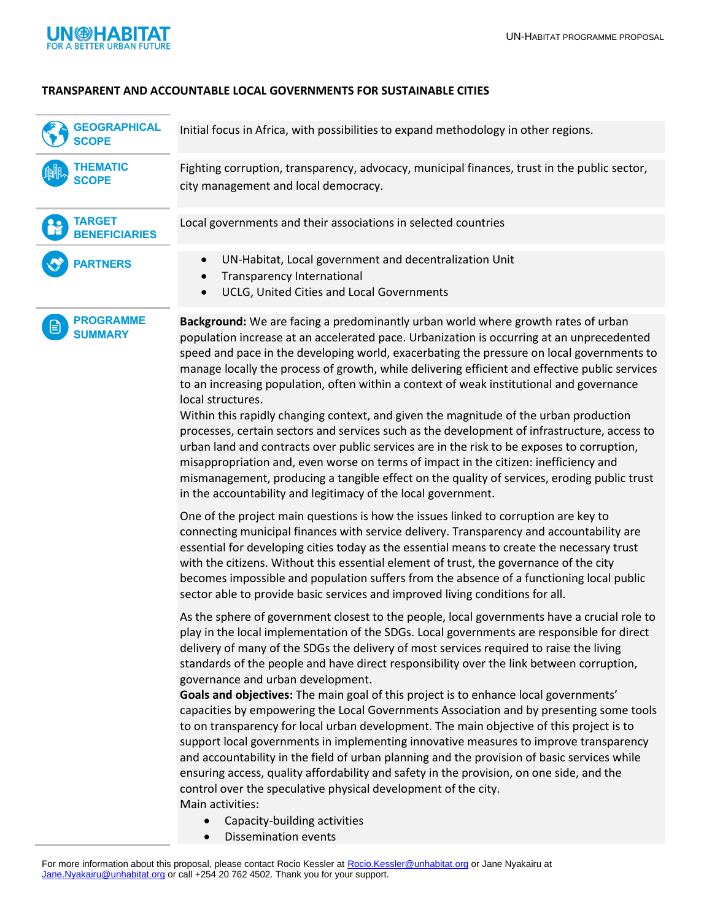

## **TRANSPARENT AND ACCOUNTABLE LOCAL GOVERNMENTS FOR SUSTAINABLE CITIES**

| <b>GEOGRAPHICAL</b><br><b>SCOPE</b>     | Initial focus in Africa, with possibilities to expand methodology in other regions.                                                                                                                                                                                                                                                                                                                                                                                                                                                                                                                                                                                                                                                                                                                                                                                                                                                                                                                                                                                            |
|-----------------------------------------|--------------------------------------------------------------------------------------------------------------------------------------------------------------------------------------------------------------------------------------------------------------------------------------------------------------------------------------------------------------------------------------------------------------------------------------------------------------------------------------------------------------------------------------------------------------------------------------------------------------------------------------------------------------------------------------------------------------------------------------------------------------------------------------------------------------------------------------------------------------------------------------------------------------------------------------------------------------------------------------------------------------------------------------------------------------------------------|
| <b>THEMATIC</b><br><b>SCOPE</b>         | Fighting corruption, transparency, advocacy, municipal finances, trust in the public sector,<br>city management and local democracy.                                                                                                                                                                                                                                                                                                                                                                                                                                                                                                                                                                                                                                                                                                                                                                                                                                                                                                                                           |
| <b>TARGET</b><br><b>BENEFICIARIES</b>   | Local governments and their associations in selected countries                                                                                                                                                                                                                                                                                                                                                                                                                                                                                                                                                                                                                                                                                                                                                                                                                                                                                                                                                                                                                 |
| <b>PARTNERS</b>                         | UN-Habitat, Local government and decentralization Unit<br>$\bullet$<br><b>Transparency International</b><br>UCLG, United Cities and Local Governments<br>$\bullet$                                                                                                                                                                                                                                                                                                                                                                                                                                                                                                                                                                                                                                                                                                                                                                                                                                                                                                             |
| <b>PROGRAMME</b><br>E<br><b>SUMMARY</b> | Background: We are facing a predominantly urban world where growth rates of urban<br>population increase at an accelerated pace. Urbanization is occurring at an unprecedented<br>speed and pace in the developing world, exacerbating the pressure on local governments to<br>manage locally the process of growth, while delivering efficient and effective public services<br>to an increasing population, often within a context of weak institutional and governance<br>local structures.<br>Within this rapidly changing context, and given the magnitude of the urban production<br>processes, certain sectors and services such as the development of infrastructure, access to<br>urban land and contracts over public services are in the risk to be exposes to corruption,<br>misappropriation and, even worse on terms of impact in the citizen: inefficiency and<br>mismanagement, producing a tangible effect on the quality of services, eroding public trust<br>in the accountability and legitimacy of the local government.                                  |
|                                         | One of the project main questions is how the issues linked to corruption are key to<br>connecting municipal finances with service delivery. Transparency and accountability are<br>essential for developing cities today as the essential means to create the necessary trust<br>with the citizens. Without this essential element of trust, the governance of the city<br>becomes impossible and population suffers from the absence of a functioning local public<br>sector able to provide basic services and improved living conditions for all.                                                                                                                                                                                                                                                                                                                                                                                                                                                                                                                           |
|                                         | As the sphere of government closest to the people, local governments have a crucial role to<br>play in the local implementation of the SDGs. Local governments are responsible for direct<br>delivery of many of the SDGs the delivery of most services required to raise the living<br>standards of the people and have direct responsibility over the link between corruption,<br>governance and urban development.<br>Goals and objectives: The main goal of this project is to enhance local governments'<br>capacities by empowering the Local Governments Association and by presenting some tools<br>to on transparency for local urban development. The main objective of this project is to<br>support local governments in implementing innovative measures to improve transparency<br>and accountability in the field of urban planning and the provision of basic services while<br>ensuring access, quality affordability and safety in the provision, on one side, and the<br>control over the speculative physical development of the city.<br>Main activities: |
|                                         | Capacity-building activities<br>$\bullet$<br><b>Dissemination events</b><br>$\bullet$                                                                                                                                                                                                                                                                                                                                                                                                                                                                                                                                                                                                                                                                                                                                                                                                                                                                                                                                                                                          |

For more information about this proposal, please contact Rocio Kessler at [Rocio.Kessler@unhabitat.org](mailto:Rocio.Kessler@unhabitat.org) or Jane Nyakairu at [Jane.Nyakairu@unhabitat.org](mailto:Jane.Nyakairu@unhabitat.org) or call +254 20 762 4502. Thank you for your support.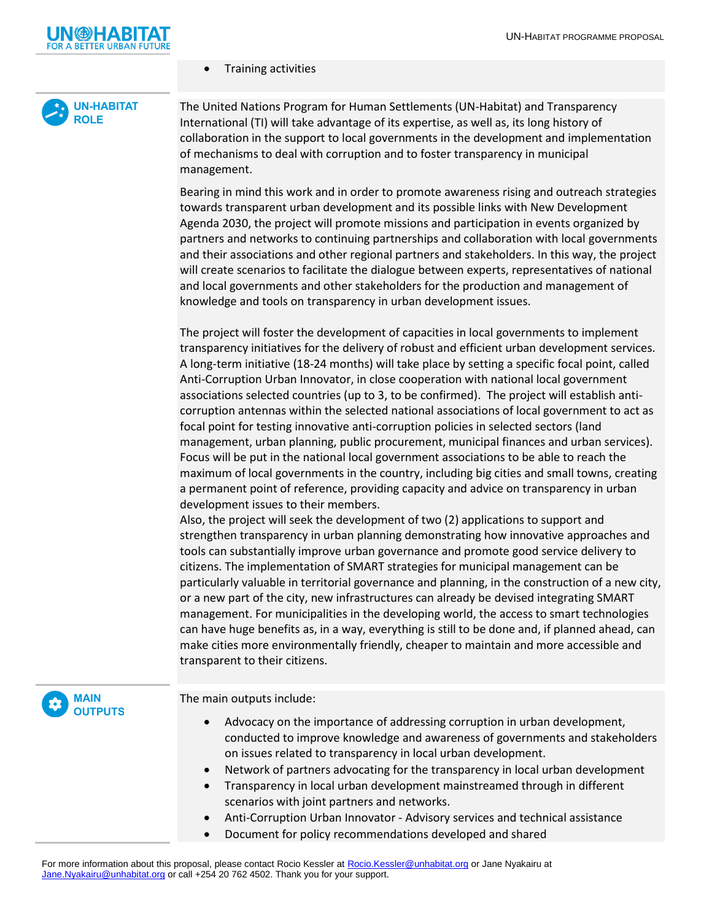

**UN-HABITAT ROLE**

## • Training activities

The United Nations Program for Human Settlements (UN-Habitat) and Transparency International (TI) will take advantage of its expertise, as well as, its long history of collaboration in the support to local governments in the development and implementation of mechanisms to deal with corruption and to foster transparency in municipal management.

Bearing in mind this work and in order to promote awareness rising and outreach strategies towards transparent urban development and its possible links with New Development Agenda 2030, the project will promote missions and participation in events organized by partners and networks to continuing partnerships and collaboration with local governments and their associations and other regional partners and stakeholders. In this way, the project will create scenarios to facilitate the dialogue between experts, representatives of national and local governments and other stakeholders for the production and management of knowledge and tools on transparency in urban development issues.

The project will foster the development of capacities in local governments to implement transparency initiatives for the delivery of robust and efficient urban development services. A long-term initiative (18-24 months) will take place by setting a specific focal point, called Anti-Corruption Urban Innovator, in close cooperation with national local government associations selected countries (up to 3, to be confirmed). The project will establish anticorruption antennas within the selected national associations of local government to act as focal point for testing innovative anti-corruption policies in selected sectors (land management, urban planning, public procurement, municipal finances and urban services). Focus will be put in the national local government associations to be able to reach the maximum of local governments in the country, including big cities and small towns, creating a permanent point of reference, providing capacity and advice on transparency in urban development issues to their members.

Also, the project will seek the development of two (2) applications to support and strengthen transparency in urban planning demonstrating how innovative approaches and tools can substantially improve urban governance and promote good service delivery to citizens. The implementation of SMART strategies for municipal management can be particularly valuable in territorial governance and planning, in the construction of a new city, or a new part of the city, new infrastructures can already be devised integrating SMART management. For municipalities in the developing world, the access to smart technologies can have huge benefits as, in a way, everything is still to be done and, if planned ahead, can make cities more environmentally friendly, cheaper to maintain and more accessible and transparent to their citizens.



The main outputs include:

- Advocacy on the importance of addressing corruption in urban development, conducted to improve knowledge and awareness of governments and stakeholders on issues related to transparency in local urban development.
- Network of partners advocating for the transparency in local urban development
- Transparency in local urban development mainstreamed through in different scenarios with joint partners and networks.
- Anti-Corruption Urban Innovator Advisory services and technical assistance
- Document for policy recommendations developed and shared